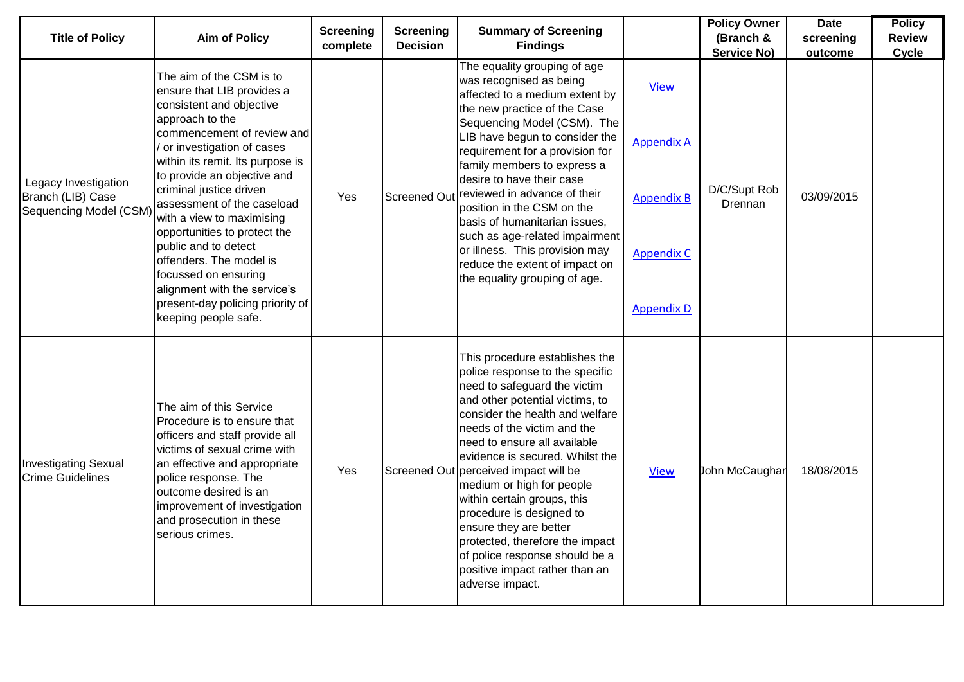| <b>Title of Policy</b>                                                    | <b>Aim of Policy</b>                                                                                                                                                                                                                                                                                                                                                                                                                                                                                                             | <b>Screening</b><br>complete | <b>Screening</b><br><b>Decision</b> | <b>Summary of Screening</b><br><b>Findings</b>                                                                                                                                                                                                                                                                                                                                                                                                                                                                                                                 |                                                                                                 | <b>Policy Owner</b><br>(Branch &<br><b>Service No)</b> | <b>Date</b><br>screening<br>outcome | <b>Policy</b><br><b>Review</b><br><b>Cycle</b> |
|---------------------------------------------------------------------------|----------------------------------------------------------------------------------------------------------------------------------------------------------------------------------------------------------------------------------------------------------------------------------------------------------------------------------------------------------------------------------------------------------------------------------------------------------------------------------------------------------------------------------|------------------------------|-------------------------------------|----------------------------------------------------------------------------------------------------------------------------------------------------------------------------------------------------------------------------------------------------------------------------------------------------------------------------------------------------------------------------------------------------------------------------------------------------------------------------------------------------------------------------------------------------------------|-------------------------------------------------------------------------------------------------|--------------------------------------------------------|-------------------------------------|------------------------------------------------|
| Legacy Investigation<br>Branch (LIB) Case<br><b>Sequencing Model (CSM</b> | The aim of the CSM is to<br>ensure that LIB provides a<br>consistent and objective<br>approach to the<br>commencement of review and<br>or investigation of cases<br>within its remit. Its purpose is<br>to provide an objective and<br>criminal justice driven<br>assessment of the caseload<br>with a view to maximising<br>opportunities to protect the<br>public and to detect<br>offenders. The model is<br>focussed on ensuring<br>alignment with the service's<br>present-day policing priority of<br>keeping people safe. | Yes                          | <b>Screened Out</b>                 | The equality grouping of age<br>was recognised as being<br>affected to a medium extent by<br>the new practice of the Case<br>Sequencing Model (CSM). The<br>LIB have begun to consider the<br>requirement for a provision for<br>family members to express a<br>desire to have their case<br>reviewed in advance of their<br>position in the CSM on the<br>basis of humanitarian issues,<br>such as age-related impairment<br>or illness. This provision may<br>reduce the extent of impact on<br>the equality grouping of age.                                | <b>View</b><br><b>Appendix A</b><br><b>Appendix B</b><br><b>Appendix C</b><br><b>Appendix D</b> | D/C/Supt Rob<br>Drennan                                | 03/09/2015                          |                                                |
| <b>Investigating Sexual</b><br><b>Crime Guidelines</b>                    | The aim of this Service<br>Procedure is to ensure that<br>officers and staff provide all<br>victims of sexual crime with<br>an effective and appropriate<br>police response. The<br>outcome desired is an<br>improvement of investigation<br>and prosecution in these<br>serious crimes.                                                                                                                                                                                                                                         | Yes                          |                                     | This procedure establishes the<br>police response to the specific<br>need to safeguard the victim<br>and other potential victims, to<br>consider the health and welfare<br>needs of the victim and the<br>need to ensure all available<br>evidence is secured. Whilst the<br>Screened Out perceived impact will be<br>medium or high for people<br>within certain groups, this<br>procedure is designed to<br>ensure they are better<br>protected, therefore the impact<br>of police response should be a<br>positive impact rather than an<br>adverse impact. | <b>View</b>                                                                                     | John McCaughar                                         | 18/08/2015                          |                                                |